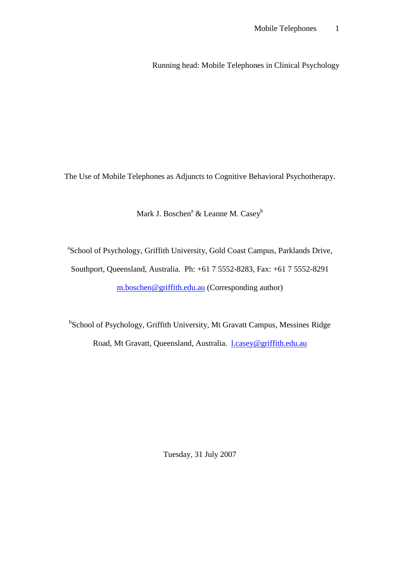Running head: Mobile Telephones in Clinical Psychology

The Use of Mobile Telephones as Adjuncts to Cognitive Behavioral Psychotherapy.

Mark J. Boschen<sup>a</sup> & Leanne M. Casey<sup>b</sup>

<sup>a</sup>School of Psychology, Griffith University, Gold Coast Campus, Parklands Drive, Southport, Queensland, Australia. Ph: +61 7 5552-8283, Fax: +61 7 5552-8291 [m.boschen@griffith.edu.au](mailto:m.boschen@griffith.edu.au) (Corresponding author)

<sup>b</sup>School of Psychology, Griffith University, Mt Gravatt Campus, Messines Ridge Road, Mt Gravatt, Queensland, Australia. [l.casey@griffith.edu.au](mailto:l.casey@griffith.edu.au)

Tuesday, 31 July 2007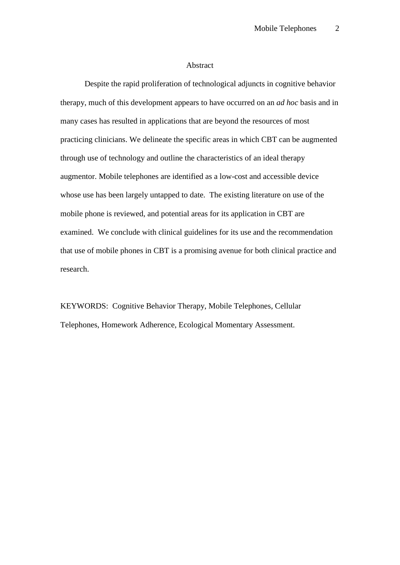### Abstract

Despite the rapid proliferation of technological adjuncts in cognitive behavior therapy, much of this development appears to have occurred on an *ad hoc* basis and in many cases has resulted in applications that are beyond the resources of most practicing clinicians. We delineate the specific areas in which CBT can be augmented through use of technology and outline the characteristics of an ideal therapy augmentor. Mobile telephones are identified as a low-cost and accessible device whose use has been largely untapped to date. The existing literature on use of the mobile phone is reviewed, and potential areas for its application in CBT are examined. We conclude with clinical guidelines for its use and the recommendation that use of mobile phones in CBT is a promising avenue for both clinical practice and research.

KEYWORDS: Cognitive Behavior Therapy, Mobile Telephones, Cellular Telephones, Homework Adherence, Ecological Momentary Assessment.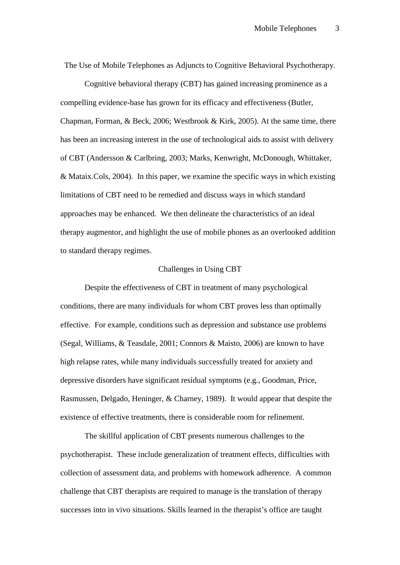The Use of Mobile Telephones as Adjuncts to Cognitive Behavioral Psychotherapy.

Cognitive behavioral therapy (CBT) has gained increasing prominence as a compelling evidence-base has grown for its efficacy and effectiveness (Butler, Chapman, Forman, & Beck, 2006; Westbrook & Kirk, 2005). At the same time, there has been an increasing interest in the use of technological aids to assist with delivery of CBT (Andersson & Carlbring, 2003; Marks, Kenwright, McDonough, Whittaker, & Mataix.Cols, 2004). In this paper, we examine the specific ways in which existing limitations of CBT need to be remedied and discuss ways in which standard approaches may be enhanced. We then delineate the characteristics of an ideal therapy augmentor, and highlight the use of mobile phones as an overlooked addition to standard therapy regimes.

### Challenges in Using CBT

Despite the effectiveness of CBT in treatment of many psychological conditions, there are many individuals for whom CBT proves less than optimally effective. For example, conditions such as depression and substance use problems (Segal, Williams, & Teasdale, 2001; Connors & Maisto, 2006) are known to have high relapse rates, while many individuals successfully treated for anxiety and depressive disorders have significant residual symptoms (e.g., Goodman, Price, Rasmussen, Delgado, Heninger, & Charney, 1989). It would appear that despite the existence of effective treatments, there is considerable room for refinement.

The skillful application of CBT presents numerous challenges to the psychotherapist. These include generalization of treatment effects, difficulties with collection of assessment data, and problems with homework adherence. A common challenge that CBT therapists are required to manage is the translation of therapy successes into in vivo situations. Skills learned in the therapist's office are taught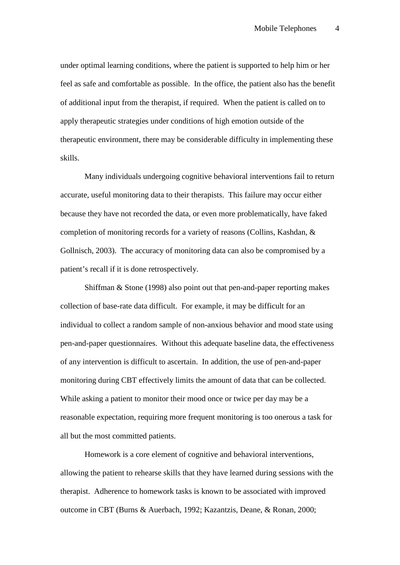under optimal learning conditions, where the patient is supported to help him or her feel as safe and comfortable as possible. In the office, the patient also has the benefit of additional input from the therapist, if required. When the patient is called on to apply therapeutic strategies under conditions of high emotion outside of the therapeutic environment, there may be considerable difficulty in implementing these skills.

Many individuals undergoing cognitive behavioral interventions fail to return accurate, useful monitoring data to their therapists. This failure may occur either because they have not recorded the data, or even more problematically, have faked completion of monitoring records for a variety of reasons (Collins, Kashdan, & Gollnisch, 2003). The accuracy of monitoring data can also be compromised by a patient's recall if it is done retrospectively.

Shiffman & Stone (1998) also point out that pen-and-paper reporting makes collection of base-rate data difficult. For example, it may be difficult for an individual to collect a random sample of non-anxious behavior and mood state using pen-and-paper questionnaires. Without this adequate baseline data, the effectiveness of any intervention is difficult to ascertain. In addition, the use of pen-and-paper monitoring during CBT effectively limits the amount of data that can be collected. While asking a patient to monitor their mood once or twice per day may be a reasonable expectation, requiring more frequent monitoring is too onerous a task for all but the most committed patients.

Homework is a core element of cognitive and behavioral interventions, allowing the patient to rehearse skills that they have learned during sessions with the therapist. Adherence to homework tasks is known to be associated with improved outcome in CBT (Burns & Auerbach, 1992; Kazantzis, Deane, & Ronan, 2000;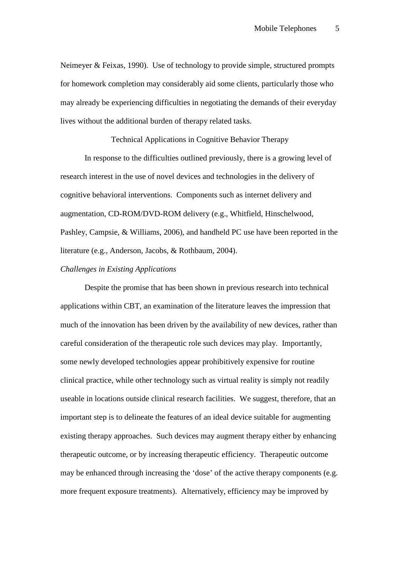Neimeyer & Feixas, 1990). Use of technology to provide simple, structured prompts for homework completion may considerably aid some clients, particularly those who may already be experiencing difficulties in negotiating the demands of their everyday lives without the additional burden of therapy related tasks.

Technical Applications in Cognitive Behavior Therapy

In response to the difficulties outlined previously, there is a growing level of research interest in the use of novel devices and technologies in the delivery of cognitive behavioral interventions. Components such as internet delivery and augmentation, CD-ROM/DVD-ROM delivery (e.g., Whitfield, Hinschelwood, Pashley, Campsie, & Williams, 2006), and handheld PC use have been reported in the literature (e.g., Anderson, Jacobs, & Rothbaum, 2004).

## *Challenges in Existing Applications*

Despite the promise that has been shown in previous research into technical applications within CBT, an examination of the literature leaves the impression that much of the innovation has been driven by the availability of new devices, rather than careful consideration of the therapeutic role such devices may play. Importantly, some newly developed technologies appear prohibitively expensive for routine clinical practice, while other technology such as virtual reality is simply not readily useable in locations outside clinical research facilities. We suggest, therefore, that an important step is to delineate the features of an ideal device suitable for augmenting existing therapy approaches. Such devices may augment therapy either by enhancing therapeutic outcome, or by increasing therapeutic efficiency. Therapeutic outcome may be enhanced through increasing the 'dose' of the active therapy components (e.g. more frequent exposure treatments). Alternatively, efficiency may be improved by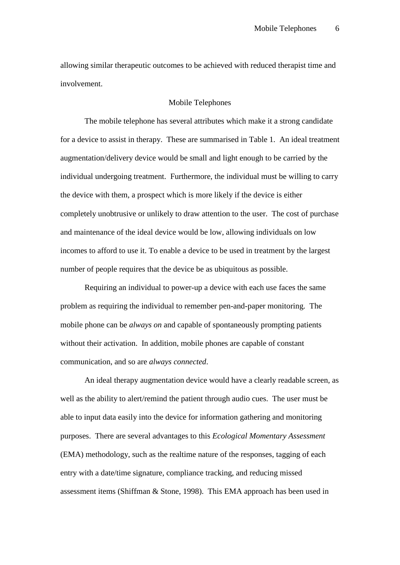allowing similar therapeutic outcomes to be achieved with reduced therapist time and involvement.

## Mobile Telephones

The mobile telephone has several attributes which make it a strong candidate for a device to assist in therapy. These are summarised in Table 1. An ideal treatment augmentation/delivery device would be small and light enough to be carried by the individual undergoing treatment. Furthermore, the individual must be willing to carry the device with them, a prospect which is more likely if the device is either completely unobtrusive or unlikely to draw attention to the user. The cost of purchase and maintenance of the ideal device would be low, allowing individuals on low incomes to afford to use it. To enable a device to be used in treatment by the largest number of people requires that the device be as ubiquitous as possible.

Requiring an individual to power-up a device with each use faces the same problem as requiring the individual to remember pen-and-paper monitoring. The mobile phone can be *always on* and capable of spontaneously prompting patients without their activation. In addition, mobile phones are capable of constant communication, and so are *always connected*.

An ideal therapy augmentation device would have a clearly readable screen, as well as the ability to alert/remind the patient through audio cues. The user must be able to input data easily into the device for information gathering and monitoring purposes. There are several advantages to this *Ecological Momentary Assessment* (EMA) methodology, such as the realtime nature of the responses, tagging of each entry with a date/time signature, compliance tracking, and reducing missed assessment items (Shiffman & Stone, 1998). This EMA approach has been used in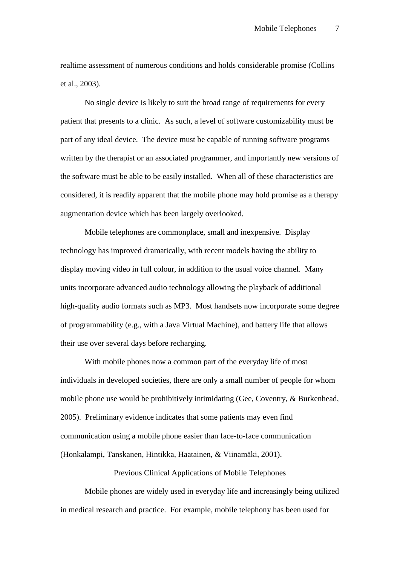realtime assessment of numerous conditions and holds considerable promise (Collins et al., 2003).

No single device is likely to suit the broad range of requirements for every patient that presents to a clinic. As such, a level of software customizability must be part of any ideal device. The device must be capable of running software programs written by the therapist or an associated programmer, and importantly new versions of the software must be able to be easily installed. When all of these characteristics are considered, it is readily apparent that the mobile phone may hold promise as a therapy augmentation device which has been largely overlooked.

Mobile telephones are commonplace, small and inexpensive. Display technology has improved dramatically, with recent models having the ability to display moving video in full colour, in addition to the usual voice channel. Many units incorporate advanced audio technology allowing the playback of additional high-quality audio formats such as MP3. Most handsets now incorporate some degree of programmability (e.g., with a Java Virtual Machine), and battery life that allows their use over several days before recharging.

With mobile phones now a common part of the everyday life of most individuals in developed societies, there are only a small number of people for whom mobile phone use would be prohibitively intimidating (Gee, Coventry, & Burkenhead, 2005). Preliminary evidence indicates that some patients may even find communication using a mobile phone easier than face-to-face communication (Honkalampi, Tanskanen, Hintikka, Haatainen, & Viinamäki, 2001).

Previous Clinical Applications of Mobile Telephones

Mobile phones are widely used in everyday life and increasingly being utilized in medical research and practice. For example, mobile telephony has been used for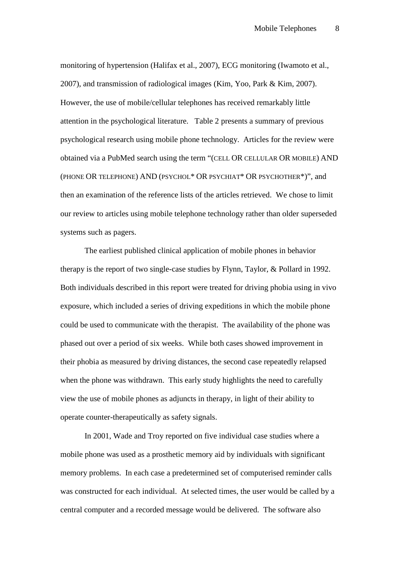monitoring of hypertension (Halifax et al., 2007), ECG monitoring (Iwamoto et al., 2007), and transmission of radiological images (Kim, Yoo, Park & Kim, 2007). However, the use of mobile/cellular telephones has received remarkably little attention in the psychological literature. Table 2 presents a summary of previous psychological research using mobile phone technology. Articles for the review were obtained via a PubMed search using the term "(CELL OR CELLULAR OR MOBILE) AND (PHONE OR TELEPHONE) AND (PSYCHOL\* OR PSYCHIAT\* OR PSYCHOTHER\*)", and then an examination of the reference lists of the articles retrieved. We chose to limit our review to articles using mobile telephone technology rather than older superseded systems such as pagers.

The earliest published clinical application of mobile phones in behavior therapy is the report of two single-case studies by Flynn, Taylor, & Pollard in 1992. Both individuals described in this report were treated for driving phobia using in vivo exposure, which included a series of driving expeditions in which the mobile phone could be used to communicate with the therapist. The availability of the phone was phased out over a period of six weeks. While both cases showed improvement in their phobia as measured by driving distances, the second case repeatedly relapsed when the phone was withdrawn. This early study highlights the need to carefully view the use of mobile phones as adjuncts in therapy, in light of their ability to operate counter-therapeutically as safety signals.

In 2001, Wade and Troy reported on five individual case studies where a mobile phone was used as a prosthetic memory aid by individuals with significant memory problems. In each case a predetermined set of computerised reminder calls was constructed for each individual. At selected times, the user would be called by a central computer and a recorded message would be delivered. The software also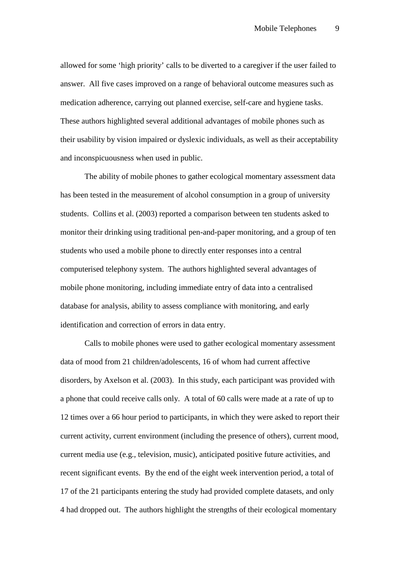allowed for some 'high priority' calls to be diverted to a caregiver if the user failed to answer. All five cases improved on a range of behavioral outcome measures such as medication adherence, carrying out planned exercise, self-care and hygiene tasks. These authors highlighted several additional advantages of mobile phones such as their usability by vision impaired or dyslexic individuals, as well as their acceptability and inconspicuousness when used in public.

The ability of mobile phones to gather ecological momentary assessment data has been tested in the measurement of alcohol consumption in a group of university students. Collins et al. (2003) reported a comparison between ten students asked to monitor their drinking using traditional pen-and-paper monitoring, and a group of ten students who used a mobile phone to directly enter responses into a central computerised telephony system. The authors highlighted several advantages of mobile phone monitoring, including immediate entry of data into a centralised database for analysis, ability to assess compliance with monitoring, and early identification and correction of errors in data entry.

Calls to mobile phones were used to gather ecological momentary assessment data of mood from 21 children/adolescents, 16 of whom had current affective disorders, by Axelson et al. (2003). In this study, each participant was provided with a phone that could receive calls only. A total of 60 calls were made at a rate of up to 12 times over a 66 hour period to participants, in which they were asked to report their current activity, current environment (including the presence of others), current mood, current media use (e.g., television, music), anticipated positive future activities, and recent significant events. By the end of the eight week intervention period, a total of 17 of the 21 participants entering the study had provided complete datasets, and only 4 had dropped out. The authors highlight the strengths of their ecological momentary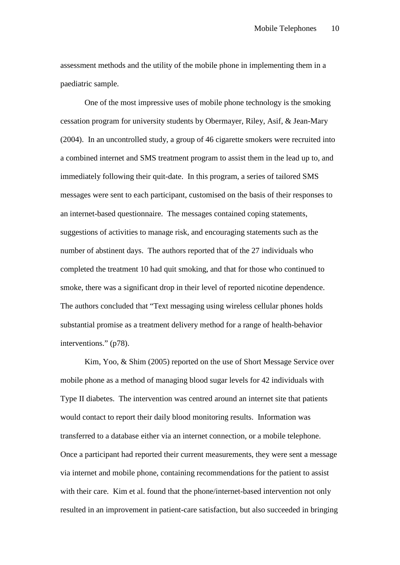assessment methods and the utility of the mobile phone in implementing them in a paediatric sample.

One of the most impressive uses of mobile phone technology is the smoking cessation program for university students by Obermayer, Riley, Asif, & Jean-Mary (2004). In an uncontrolled study, a group of 46 cigarette smokers were recruited into a combined internet and SMS treatment program to assist them in the lead up to, and immediately following their quit-date. In this program, a series of tailored SMS messages were sent to each participant, customised on the basis of their responses to an internet-based questionnaire. The messages contained coping statements, suggestions of activities to manage risk, and encouraging statements such as the number of abstinent days. The authors reported that of the 27 individuals who completed the treatment 10 had quit smoking, and that for those who continued to smoke, there was a significant drop in their level of reported nicotine dependence. The authors concluded that "Text messaging using wireless cellular phones holds substantial promise as a treatment delivery method for a range of health-behavior interventions." (p78).

Kim, Yoo, & Shim (2005) reported on the use of Short Message Service over mobile phone as a method of managing blood sugar levels for 42 individuals with Type II diabetes. The intervention was centred around an internet site that patients would contact to report their daily blood monitoring results. Information was transferred to a database either via an internet connection, or a mobile telephone. Once a participant had reported their current measurements, they were sent a message via internet and mobile phone, containing recommendations for the patient to assist with their care. Kim et al. found that the phone/internet-based intervention not only resulted in an improvement in patient-care satisfaction, but also succeeded in bringing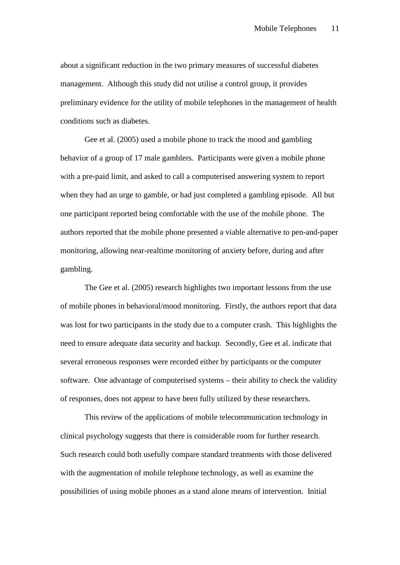about a significant reduction in the two primary measures of successful diabetes management. Although this study did not utilise a control group, it provides preliminary evidence for the utility of mobile telephones in the management of health conditions such as diabetes.

Gee et al. (2005) used a mobile phone to track the mood and gambling behavior of a group of 17 male gamblers. Participants were given a mobile phone with a pre-paid limit, and asked to call a computerised answering system to report when they had an urge to gamble, or had just completed a gambling episode. All but one participant reported being comfortable with the use of the mobile phone. The authors reported that the mobile phone presented a viable alternative to pen-and-paper monitoring, allowing near-realtime monitoring of anxiety before, during and after gambling.

The Gee et al. (2005) research highlights two important lessons from the use of mobile phones in behavioral/mood monitoring. Firstly, the authors report that data was lost for two participants in the study due to a computer crash. This highlights the need to ensure adequate data security and backup. Secondly, Gee et al. indicate that several erroneous responses were recorded either by participants or the computer software. One advantage of computerised systems – their ability to check the validity of responses, does not appear to have been fully utilized by these researchers.

This review of the applications of mobile telecommunication technology in clinical psychology suggests that there is considerable room for further research. Such research could both usefully compare standard treatments with those delivered with the augmentation of mobile telephone technology, as well as examine the possibilities of using mobile phones as a stand alone means of intervention. Initial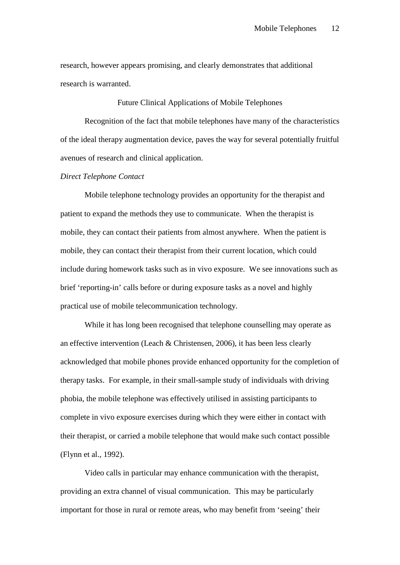research, however appears promising, and clearly demonstrates that additional research is warranted.

Future Clinical Applications of Mobile Telephones

Recognition of the fact that mobile telephones have many of the characteristics of the ideal therapy augmentation device, paves the way for several potentially fruitful avenues of research and clinical application.

*Direct Telephone Contact*

Mobile telephone technology provides an opportunity for the therapist and patient to expand the methods they use to communicate. When the therapist is mobile, they can contact their patients from almost anywhere. When the patient is mobile, they can contact their therapist from their current location, which could include during homework tasks such as in vivo exposure. We see innovations such as brief 'reporting-in' calls before or during exposure tasks as a novel and highly practical use of mobile telecommunication technology.

While it has long been recognised that telephone counselling may operate as an effective intervention (Leach & Christensen, 2006), it has been less clearly acknowledged that mobile phones provide enhanced opportunity for the completion of therapy tasks. For example, in their small-sample study of individuals with driving phobia, the mobile telephone was effectively utilised in assisting participants to complete in vivo exposure exercises during which they were either in contact with their therapist, or carried a mobile telephone that would make such contact possible (Flynn et al., 1992).

Video calls in particular may enhance communication with the therapist, providing an extra channel of visual communication. This may be particularly important for those in rural or remote areas, who may benefit from 'seeing' their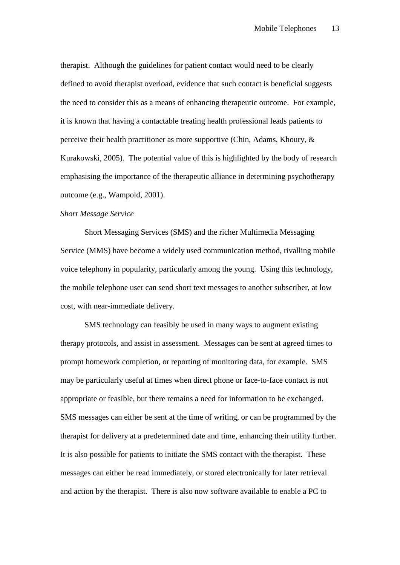therapist. Although the guidelines for patient contact would need to be clearly defined to avoid therapist overload, evidence that such contact is beneficial suggests the need to consider this as a means of enhancing therapeutic outcome. For example, it is known that having a contactable treating health professional leads patients to perceive their health practitioner as more supportive (Chin, Adams, Khoury, & Kurakowski, 2005). The potential value of this is highlighted by the body of research emphasising the importance of the therapeutic alliance in determining psychotherapy outcome (e.g., Wampold, 2001).

## *Short Message Service*

Short Messaging Services (SMS) and the richer Multimedia Messaging Service (MMS) have become a widely used communication method, rivalling mobile voice telephony in popularity, particularly among the young. Using this technology, the mobile telephone user can send short text messages to another subscriber, at low cost, with near-immediate delivery.

SMS technology can feasibly be used in many ways to augment existing therapy protocols, and assist in assessment. Messages can be sent at agreed times to prompt homework completion, or reporting of monitoring data, for example. SMS may be particularly useful at times when direct phone or face-to-face contact is not appropriate or feasible, but there remains a need for information to be exchanged. SMS messages can either be sent at the time of writing, or can be programmed by the therapist for delivery at a predetermined date and time, enhancing their utility further. It is also possible for patients to initiate the SMS contact with the therapist. These messages can either be read immediately, or stored electronically for later retrieval and action by the therapist. There is also now software available to enable a PC to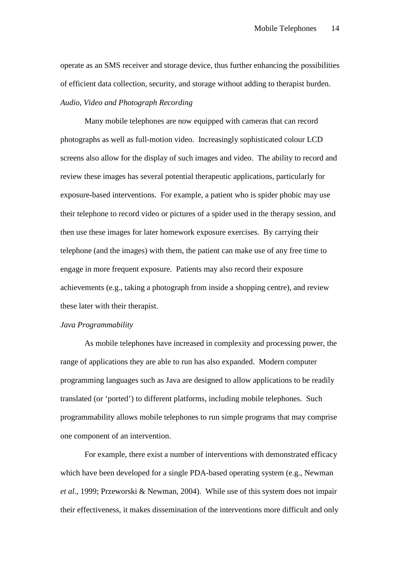operate as an SMS receiver and storage device, thus further enhancing the possibilities of efficient data collection, security, and storage without adding to therapist burden. *Audio, Video and Photograph Recording*

Many mobile telephones are now equipped with cameras that can record photographs as well as full-motion video. Increasingly sophisticated colour LCD screens also allow for the display of such images and video. The ability to record and review these images has several potential therapeutic applications, particularly for exposure-based interventions. For example, a patient who is spider phobic may use their telephone to record video or pictures of a spider used in the therapy session, and then use these images for later homework exposure exercises. By carrying their telephone (and the images) with them, the patient can make use of any free time to engage in more frequent exposure. Patients may also record their exposure achievements (e.g., taking a photograph from inside a shopping centre), and review these later with their therapist.

## *Java Programmability*

As mobile telephones have increased in complexity and processing power, the range of applications they are able to run has also expanded. Modern computer programming languages such as Java are designed to allow applications to be readily translated (or 'ported') to different platforms, including mobile telephones. Such programmability allows mobile telephones to run simple programs that may comprise one component of an intervention.

For example, there exist a number of interventions with demonstrated efficacy which have been developed for a single PDA-based operating system (e.g., Newman *et al.*, 1999; Przeworski & Newman, 2004). While use of this system does not impair their effectiveness, it makes dissemination of the interventions more difficult and only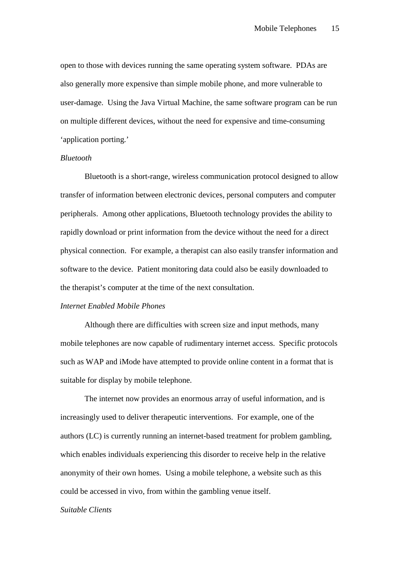open to those with devices running the same operating system software. PDAs are also generally more expensive than simple mobile phone, and more vulnerable to user-damage. Using the Java Virtual Machine, the same software program can be run on multiple different devices, without the need for expensive and time-consuming 'application porting.'

## *Bluetooth*

Bluetooth is a short-range, wireless communication protocol designed to allow transfer of information between electronic devices, personal computers and computer peripherals. Among other applications, Bluetooth technology provides the ability to rapidly download or print information from the device without the need for a direct physical connection. For example, a therapist can also easily transfer information and software to the device. Patient monitoring data could also be easily downloaded to the therapist's computer at the time of the next consultation.

## *Internet Enabled Mobile Phones*

Although there are difficulties with screen size and input methods, many mobile telephones are now capable of rudimentary internet access. Specific protocols such as WAP and iMode have attempted to provide online content in a format that is suitable for display by mobile telephone.

The internet now provides an enormous array of useful information, and is increasingly used to deliver therapeutic interventions. For example, one of the authors (LC) is currently running an internet-based treatment for problem gambling, which enables individuals experiencing this disorder to receive help in the relative anonymity of their own homes. Using a mobile telephone, a website such as this could be accessed in vivo, from within the gambling venue itself.

## *Suitable Clients*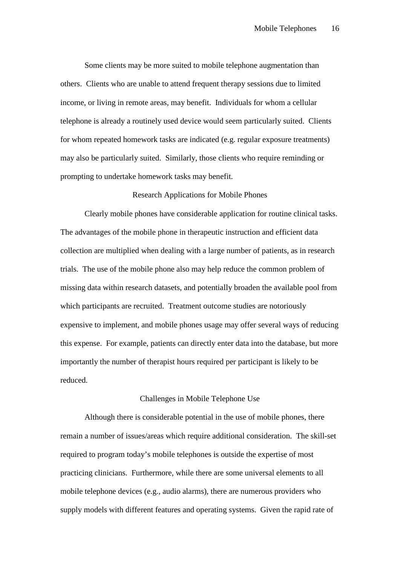Some clients may be more suited to mobile telephone augmentation than others. Clients who are unable to attend frequent therapy sessions due to limited income, or living in remote areas, may benefit. Individuals for whom a cellular telephone is already a routinely used device would seem particularly suited. Clients for whom repeated homework tasks are indicated (e.g. regular exposure treatments) may also be particularly suited. Similarly, those clients who require reminding or prompting to undertake homework tasks may benefit.

## Research Applications for Mobile Phones

Clearly mobile phones have considerable application for routine clinical tasks. The advantages of the mobile phone in therapeutic instruction and efficient data collection are multiplied when dealing with a large number of patients, as in research trials. The use of the mobile phone also may help reduce the common problem of missing data within research datasets, and potentially broaden the available pool from which participants are recruited. Treatment outcome studies are notoriously expensive to implement, and mobile phones usage may offer several ways of reducing this expense. For example, patients can directly enter data into the database, but more importantly the number of therapist hours required per participant is likely to be reduced.

#### Challenges in Mobile Telephone Use

Although there is considerable potential in the use of mobile phones, there remain a number of issues/areas which require additional consideration. The skill-set required to program today's mobile telephones is outside the expertise of most practicing clinicians. Furthermore, while there are some universal elements to all mobile telephone devices (e.g., audio alarms), there are numerous providers who supply models with different features and operating systems. Given the rapid rate of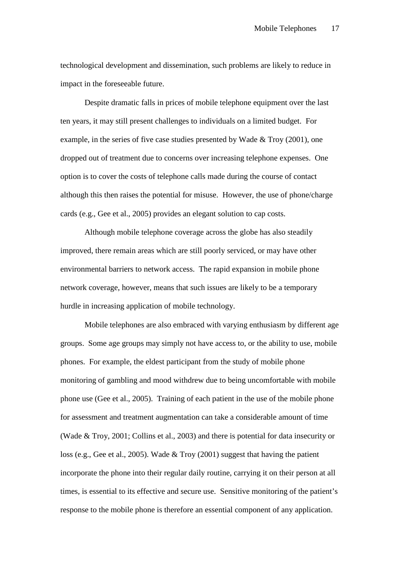technological development and dissemination, such problems are likely to reduce in impact in the foreseeable future.

Despite dramatic falls in prices of mobile telephone equipment over the last ten years, it may still present challenges to individuals on a limited budget. For example, in the series of five case studies presented by Wade & Troy (2001), one dropped out of treatment due to concerns over increasing telephone expenses. One option is to cover the costs of telephone calls made during the course of contact although this then raises the potential for misuse. However, the use of phone/charge cards (e.g., Gee et al., 2005) provides an elegant solution to cap costs.

Although mobile telephone coverage across the globe has also steadily improved, there remain areas which are still poorly serviced, or may have other environmental barriers to network access. The rapid expansion in mobile phone network coverage, however, means that such issues are likely to be a temporary hurdle in increasing application of mobile technology.

Mobile telephones are also embraced with varying enthusiasm by different age groups. Some age groups may simply not have access to, or the ability to use, mobile phones. For example, the eldest participant from the study of mobile phone monitoring of gambling and mood withdrew due to being uncomfortable with mobile phone use (Gee et al., 2005). Training of each patient in the use of the mobile phone for assessment and treatment augmentation can take a considerable amount of time (Wade & Troy, 2001; Collins et al., 2003) and there is potential for data insecurity or loss (e.g., Gee et al., 2005). Wade & Troy (2001) suggest that having the patient incorporate the phone into their regular daily routine, carrying it on their person at all times, is essential to its effective and secure use. Sensitive monitoring of the patient's response to the mobile phone is therefore an essential component of any application.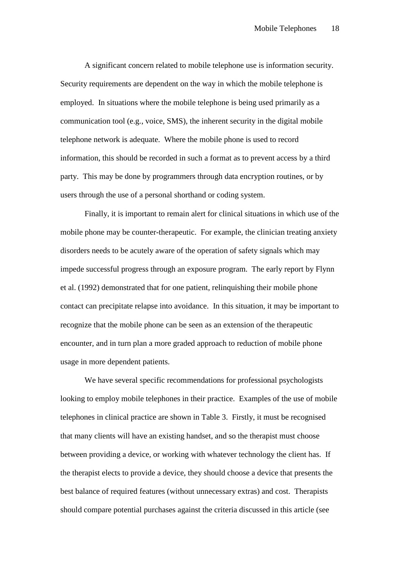A significant concern related to mobile telephone use is information security. Security requirements are dependent on the way in which the mobile telephone is employed. In situations where the mobile telephone is being used primarily as a communication tool (e.g., voice, SMS), the inherent security in the digital mobile telephone network is adequate. Where the mobile phone is used to record information, this should be recorded in such a format as to prevent access by a third party. This may be done by programmers through data encryption routines, or by users through the use of a personal shorthand or coding system.

Finally, it is important to remain alert for clinical situations in which use of the mobile phone may be counter-therapeutic. For example, the clinician treating anxiety disorders needs to be acutely aware of the operation of safety signals which may impede successful progress through an exposure program. The early report by Flynn et al. (1992) demonstrated that for one patient, relinquishing their mobile phone contact can precipitate relapse into avoidance. In this situation, it may be important to recognize that the mobile phone can be seen as an extension of the therapeutic encounter, and in turn plan a more graded approach to reduction of mobile phone usage in more dependent patients.

We have several specific recommendations for professional psychologists looking to employ mobile telephones in their practice. Examples of the use of mobile telephones in clinical practice are shown in Table 3. Firstly, it must be recognised that many clients will have an existing handset, and so the therapist must choose between providing a device, or working with whatever technology the client has. If the therapist elects to provide a device, they should choose a device that presents the best balance of required features (without unnecessary extras) and cost. Therapists should compare potential purchases against the criteria discussed in this article (see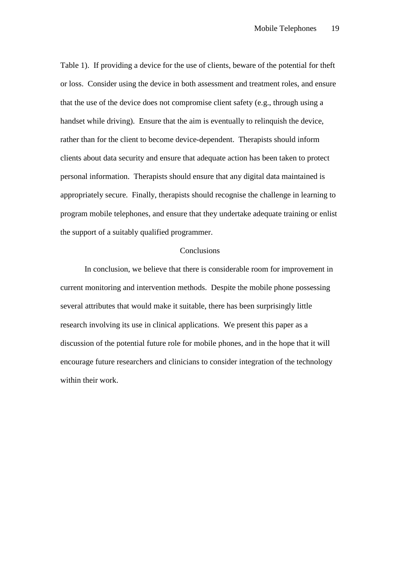Table 1). If providing a device for the use of clients, beware of the potential for theft or loss. Consider using the device in both assessment and treatment roles, and ensure that the use of the device does not compromise client safety (e.g., through using a handset while driving). Ensure that the aim is eventually to relinquish the device, rather than for the client to become device-dependent. Therapists should inform clients about data security and ensure that adequate action has been taken to protect personal information. Therapists should ensure that any digital data maintained is appropriately secure. Finally, therapists should recognise the challenge in learning to program mobile telephones, and ensure that they undertake adequate training or enlist the support of a suitably qualified programmer.

## **Conclusions**

In conclusion, we believe that there is considerable room for improvement in current monitoring and intervention methods. Despite the mobile phone possessing several attributes that would make it suitable, there has been surprisingly little research involving its use in clinical applications. We present this paper as a discussion of the potential future role for mobile phones, and in the hope that it will encourage future researchers and clinicians to consider integration of the technology within their work.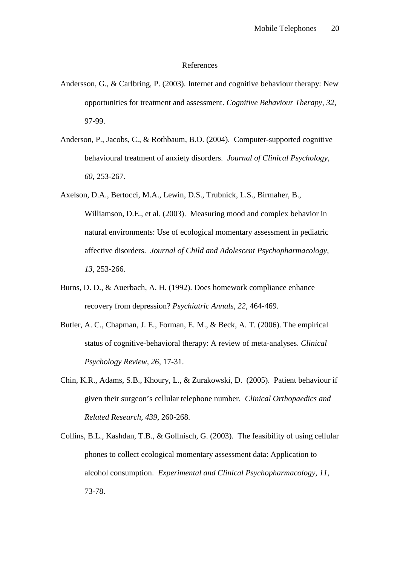### References

- Andersson, G., & Carlbring, P. (2003). Internet and cognitive behaviour therapy: New opportunities for treatment and assessment. *Cognitive Behaviour Therapy, 32*, 97-99.
- Anderson, P., Jacobs, C., & Rothbaum, B.O. (2004). Computer-supported cognitive behavioural treatment of anxiety disorders. *Journal of Clinical Psychology, 60,* 253-267.
- Axelson, D.A., Bertocci, M.A., Lewin, D.S., Trubnick, L.S., Birmaher, B., Williamson, D.E., et al. (2003). Measuring mood and complex behavior in natural environments: Use of ecological momentary assessment in pediatric affective disorders. *Journal of Child and Adolescent Psychopharmacology, 13,* 253-266.
- Burns, D. D., & Auerbach, A. H. (1992). Does homework compliance enhance recovery from depression? *Psychiatric Annals, 22*, 464-469.
- Butler, A. C., Chapman, J. E., Forman, E. M., & Beck, A. T. (2006). The empirical status of cognitive-behavioral therapy: A review of meta-analyses. *Clinical Psychology Review, 26*, 17-31.
- Chin, K.R., Adams, S.B., Khoury, L., & Zurakowski, D. (2005). Patient behaviour if given their surgeon's cellular telephone number. *Clinical Orthopaedics and Related Research, 439*, 260-268.
- Collins, B.L., Kashdan, T.B., & Gollnisch, G. (2003). The feasibility of using cellular phones to collect ecological momentary assessment data: Application to alcohol consumption. *Experimental and Clinical Psychopharmacology, 11,*  73-78.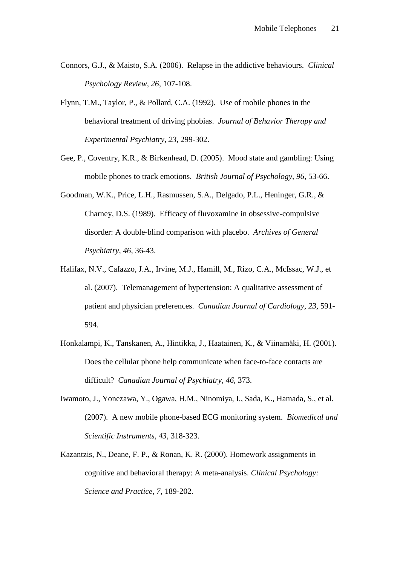- Connors, G.J., & Maisto, S.A. (2006). Relapse in the addictive behaviours. *Clinical Psychology Review, 26,* 107-108.
- Flynn, T.M., Taylor, P., & Pollard, C.A. (1992). Use of mobile phones in the behavioral treatment of driving phobias. *Journal of Behavior Therapy and Experimental Psychiatry, 23,* 299-302.
- Gee, P., Coventry, K.R., & Birkenhead, D. (2005). Mood state and gambling: Using mobile phones to track emotions. *British Journal of Psychology, 96,* 53-66.
- Goodman, W.K., Price, L.H., Rasmussen, S.A., Delgado, P.L., Heninger, G.R., & Charney, D.S. (1989). Efficacy of fluvoxamine in obsessive-compulsive disorder: A double-blind comparison with placebo. *Archives of General Psychiatry, 46,* 36-43.
- Halifax, N.V., Cafazzo, J.A., Irvine, M.J., Hamill, M., Rizo, C.A., McIssac, W.J., et al. (2007). Telemanagement of hypertension: A qualitative assessment of patient and physician preferences. *Canadian Journal of Cardiology, 23,* 591- 594.
- Honkalampi, K., Tanskanen, A., Hintikka, J., Haatainen, K., & Viinamäki, H. (2001). Does the cellular phone help communicate when face-to-face contacts are difficult? *Canadian Journal of Psychiatry, 46,* 373.
- Iwamoto, J., Yonezawa, Y., Ogawa, H.M., Ninomiya, I., Sada, K., Hamada, S., et al. (2007). A new mobile phone-based ECG monitoring system. *Biomedical and Scientific Instruments, 43,* 318-323.
- Kazantzis, N., Deane, F. P., & Ronan, K. R. (2000). Homework assignments in cognitive and behavioral therapy: A meta-analysis. *Clinical Psychology: Science and Practice, 7*, 189-202.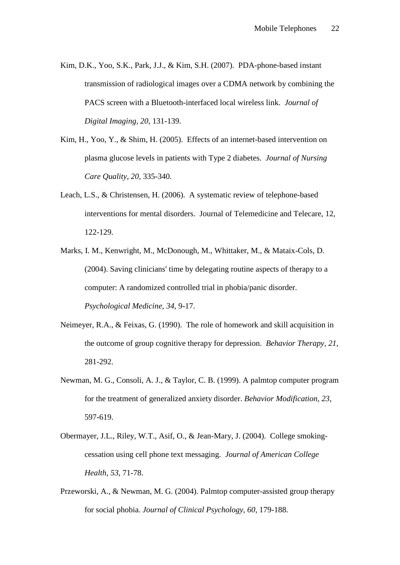- Kim, D.K., Yoo, S.K., Park, J.J., & Kim, S.H. (2007). PDA-phone-based instant transmission of radiological images over a CDMA network by combining the PACS screen with a Bluetooth-interfaced local wireless link. *Journal of Digital Imaging, 20,* 131-139.
- Kim, H., Yoo, Y., & Shim, H. (2005). Effects of an internet-based intervention on plasma glucose levels in patients with Type 2 diabetes. *Journal of Nursing Care Quality, 20,* 335-340.
- Leach, L.S., & Christensen, H. (2006). A systematic review of telephone-based interventions for mental disorders. Journal of Telemedicine and Telecare, 12, 122-129.
- Marks, I. M., Kenwright, M., McDonough, M., Whittaker, M., & Mataix-Cols, D. (2004). Saving clinicians' time by delegating routine aspects of therapy to a computer: A randomized controlled trial in phobia/panic disorder. *Psychological Medicine, 34*, 9-17.
- Neimeyer, R.A., & Feixas, G. (1990). The role of homework and skill acquisition in the outcome of group cognitive therapy for depression. *Behavior Therapy, 21,* 281-292.
- Newman, M. G., Consoli, A. J., & Taylor, C. B. (1999). A palmtop computer program for the treatment of generalized anxiety disorder. *Behavior Modification, 23*, 597-619.
- Obermayer, J.L., Riley, W.T., Asif, O., & Jean-Mary, J. (2004). College smokingcessation using cell phone text messaging. *Journal of American College Health, 53*, 71-78.
- Przeworski, A., & Newman, M. G. (2004). Palmtop computer-assisted group therapy for social phobia. *Journal of Clinical Psychology, 60,* 179-188.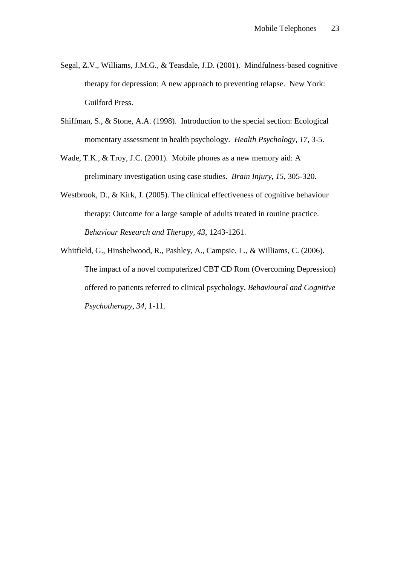- Segal, Z.V., Williams, J.M.G., & Teasdale, J.D. (2001). Mindfulness-based cognitive therapy for depression: A new approach to preventing relapse. New York: Guilford Press.
- Shiffman, S., & Stone, A.A. (1998). Introduction to the special section: Ecological momentary assessment in health psychology. *Health Psychology, 17*, 3-5.
- Wade, T.K., & Troy, J.C. (2001). Mobile phones as a new memory aid: A preliminary investigation using case studies. *Brain Injury, 15*, 305-320.
- Westbrook, D., & Kirk, J. (2005). The clinical effectiveness of cognitive behaviour therapy: Outcome for a large sample of adults treated in routine practice. *Behaviour Research and Therapy, 43*, 1243-1261.
- Whitfield, G., Hinshelwood, R., Pashley, A., Campsie, L., & Williams, C. (2006). The impact of a novel computerized CBT CD Rom (Overcoming Depression) offered to patients referred to clinical psychology. *Behavioural and Cognitive Psychotherapy, 34,* 1-11.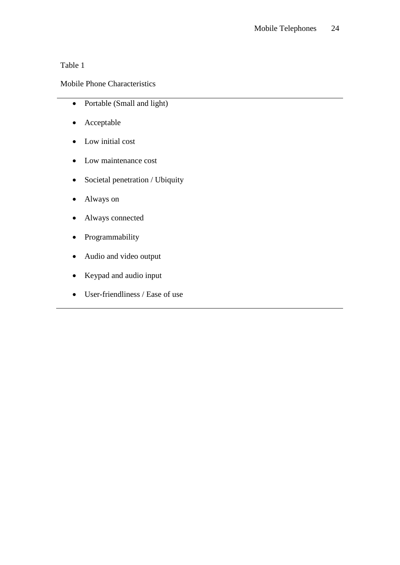## Table 1

## Mobile Phone Characteristics

- Portable (Small and light)
- Acceptable
- Low initial cost
- Low maintenance cost
- Societal penetration / Ubiquity
- Always on
- Always connected
- Programmability
- Audio and video output
- Keypad and audio input
- User-friendliness / Ease of use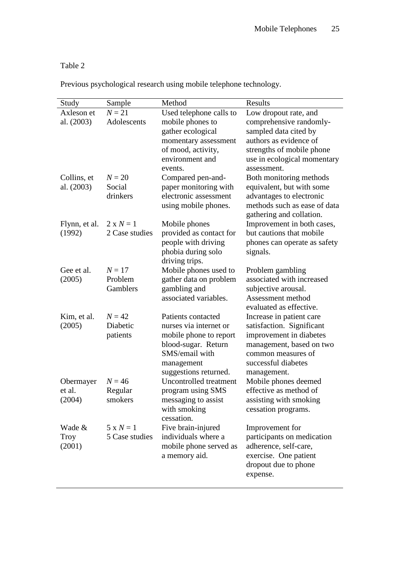# Table 2

Previous psychological research using mobile telephone technology.

| Study         | Sample           | Method                     | Results                                                  |
|---------------|------------------|----------------------------|----------------------------------------------------------|
| Axleson et    | $N = 21$         | Used telephone calls to    | Low dropout rate, and                                    |
| al. (2003)    | Adolescents      | mobile phones to           | comprehensive randomly-                                  |
|               |                  | gather ecological          | sampled data cited by                                    |
|               |                  | momentary assessment       | authors as evidence of                                   |
|               |                  | of mood, activity,         | strengths of mobile phone                                |
|               |                  | environment and            | use in ecological momentary                              |
|               |                  | events.                    | assessment.                                              |
| Collins, et   | $N = 20$         | Compared pen-and-          | Both monitoring methods                                  |
| al. (2003)    | Social           | paper monitoring with      | equivalent, but with some                                |
|               | drinkers         | electronic assessment      | advantages to electronic                                 |
|               |                  | using mobile phones.       | methods such as ease of data<br>gathering and collation. |
| Flynn, et al. | $2 \times N = 1$ | Mobile phones              | Improvement in both cases,                               |
| (1992)        | 2 Case studies   | provided as contact for    | but cautions that mobile                                 |
|               |                  | people with driving        | phones can operate as safety                             |
|               |                  | phobia during solo         | signals.                                                 |
|               |                  | driving trips.             |                                                          |
| Gee et al.    | $N = 17$         | Mobile phones used to      | Problem gambling                                         |
| (2005)        | Problem          | gather data on problem     | associated with increased                                |
|               | Gamblers         | gambling and               | subjective arousal.                                      |
|               |                  | associated variables.      | Assessment method                                        |
|               |                  |                            | evaluated as effective.                                  |
| Kim, et al.   | $N = 42$         | Patients contacted         | Increase in patient care                                 |
| (2005)        | Diabetic         | nurses via internet or     | satisfaction. Significant                                |
|               | patients         | mobile phone to report     | improvement in diabetes                                  |
|               |                  | blood-sugar. Return        | management, based on two                                 |
|               |                  | SMS/email with             | common measures of                                       |
|               |                  | management                 | successful diabetes                                      |
|               |                  | suggestions returned.      | management.                                              |
| Obermayer     | $N = 46$         | Uncontrolled treatment     | Mobile phones deemed                                     |
| et al.        | Regular          | program using SMS          | effective as method of                                   |
| (2004)        | smokers          | messaging to assist        | assisting with smoking                                   |
|               |                  | with smoking<br>cessation. | cessation programs.                                      |
| Wade &        | $5 \times N = 1$ | Five brain-injured         | Improvement for                                          |
| Troy          | 5 Case studies   | individuals where a        | participants on medication                               |
| (2001)        |                  | mobile phone served as     | adherence, self-care,                                    |
|               |                  | a memory aid.              | exercise. One patient                                    |
|               |                  |                            | dropout due to phone                                     |
|               |                  |                            | expense.                                                 |
|               |                  |                            |                                                          |